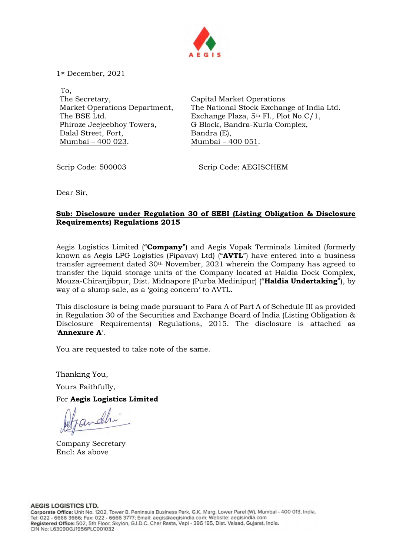

1st December, 2021

 To, The Secretary, Market Operations Department, The BSE Ltd. Phiroze Jeejeebhoy Towers, Dalal Street, Fort, Mumbai – 400 023.

Capital Market Operations The National Stock Exchange of India Ltd. Exchange Plaza, 5th Fl., Plot No.C/1, G Block, Bandra-Kurla Complex, Bandra (E), Mumbai – 400 051.

Scrip Code: 500003 Scrip Code: AEGISCHEM

Dear Sir,

## Sub: Disclosure under Regulation 30 of SEBI (Listing Obligation & Disclosure Requirements) Regulations 2015

Aegis Logistics Limited ("**Company**") and Aegis Vopak Terminals Limited (formerly known as Aegis LPG Logistics (Pipavav) Ltd) ("AVTL") have entered into a business transfer agreement dated  $30<sup>th</sup>$  November, 2021 wherein the Company has agreed to transfer the liquid storage units of the Company located at Haldia Dock Complex, Mouza-Chiranjibpur, Dist. Midnapore (Purba Medinipur) ("Haldia Undertaking"), by way of a slump sale, as a 'going concern' to AVTL.

This disclosure is being made pursuant to Para A of Part A of Schedule III as provided in Regulation 30 of the Securities and Exchange Board of India (Listing Obligation & Disclosure Requirements) Regulations, 2015. The disclosure is attached as 'Annexure A'.

You are requested to take note of the same.

Thanking You,

Yours Faithfully,

For Aegis Logistics Limited

andh

Company Secretary Encl: As above

**AEGIS LOGISTICS LTD.**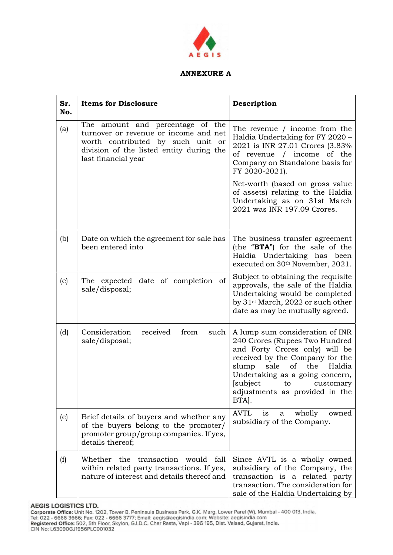

## ANNEXURE A

| Sr.<br>No. | <b>Items for Disclosure</b>                                                                                                                                                       | Description                                                                                                                                                                                                                                                                          |
|------------|-----------------------------------------------------------------------------------------------------------------------------------------------------------------------------------|--------------------------------------------------------------------------------------------------------------------------------------------------------------------------------------------------------------------------------------------------------------------------------------|
| (a)        | The amount and percentage of the<br>turnover or revenue or income and net<br>worth contributed by such unit or<br>division of the listed entity during the<br>last financial year | The revenue / income from the<br>Haldia Undertaking for FY 2020 -<br>2021 is INR 27.01 Crores (3.83%<br>of revenue / income of the<br>Company on Standalone basis for<br>FY 2020-2021).                                                                                              |
|            |                                                                                                                                                                                   | Net-worth (based on gross value<br>of assets) relating to the Haldia<br>Undertaking as on 31st March<br>2021 was INR 197.09 Crores.                                                                                                                                                  |
| (b)        | Date on which the agreement for sale has<br>been entered into                                                                                                                     | The business transfer agreement<br>(the "BTA") for the sale of the<br>Haldia Undertaking has been<br>executed on 30th November, 2021.                                                                                                                                                |
| (c)        | The expected date of completion of<br>sale/disposal;                                                                                                                              | Subject to obtaining the requisite<br>approvals, the sale of the Haldia<br>Undertaking would be completed<br>by 31 <sup>st</sup> March, 2022 or such other<br>date as may be mutually agreed.                                                                                        |
| (d)        | Consideration<br>received<br>from<br>such<br>sale/disposal;                                                                                                                       | A lump sum consideration of INR<br>240 Crores (Rupees Two Hundred<br>and Forty Crores only) will be<br>received by the Company for the<br>slump<br>sale<br>of the<br>Haldia<br>Undertaking as a going concern,<br>[subject to<br>customary<br>adjustments as provided in the<br>BTA. |
| (e)        | Brief details of buyers and whether any<br>of the buyers belong to the promoter/<br>promoter group/group companies. If yes,<br>details thereof;                                   | <b>AVTL</b><br>wholly<br>owned<br>1S<br>a<br>subsidiary of the Company.                                                                                                                                                                                                              |
| (f)        | Whether the transaction<br>would<br>fall<br>within related party transactions. If yes,<br>nature of interest and details thereof and                                              | Since AVTL is a wholly owned<br>subsidiary of the Company, the<br>transaction is a related party<br>transaction. The consideration for<br>sale of the Haldia Undertaking by                                                                                                          |

AEGIS LOGISTICS LTD.<br>Corporate Office: Unit No. 1202, Tower B, Peninsula Business Park, G.K. Marg, Lower Parel (W), Mumbai - 400 013, India.<br>Tel: 022 - 6666 3666; Fax: 022 - 6666 3777; Email: aegis@aegisindia.com; Website: